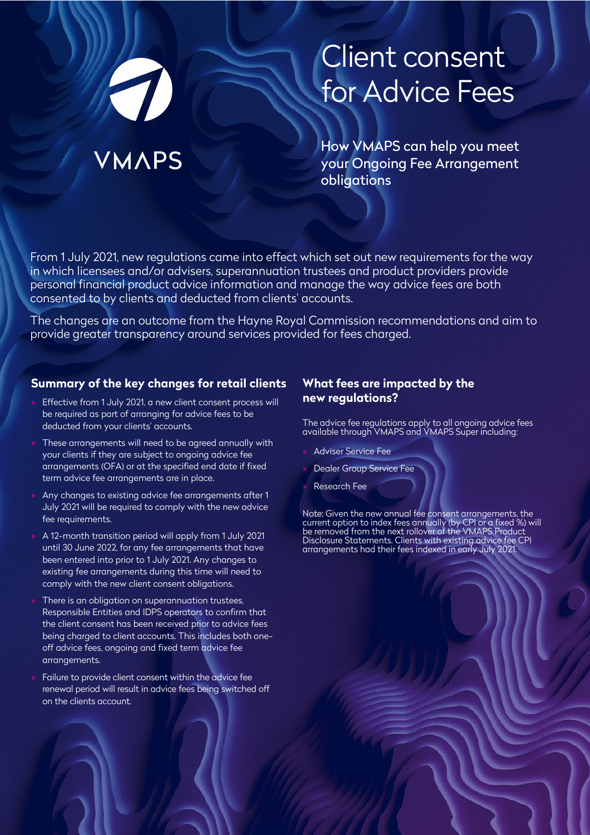# Client consent for Advice Fees

How VMAPS can help you meet your Ongoing Fee Arrangement obligations

From 1 July 2021, new regulations came into effect which set out new requirements for the way in which licensees and/or advisers, superannuation trustees and product providers provide personal financial product advice information and manage the way advice fees are both consented to by clients and deducted from clients' accounts.

The changes are an outcome from the Hayne Royal Commission recommendations and aim to provide greater transparency around services provided for fees charged.

# **Summary of the key changes for retail clients**

**MAPS** 

- » Effective from 1 July 2021, a new client consent process will be required as part of arranging for advice fees to be deducted from your clients' accounts.
- » These arrangements will need to be agreed annually with your clients if they are subject to ongoing advice fee arrangements (OFA) or at the specified end date if fixed term advice fee arrangements are in place.
- Any changes to existing advice fee arrangements after 1 July 2021 will be required to comply with the new advice fee requirements.
- » A 12-month transition period will apply from 1 July 2021 until 30 June 2022, for any fee arrangements that have been entered into prior to 1 July 2021. Any changes to existing fee arrangements during this time will need to comply with the new client consent obligations.
- » There is an obligation on superannuation trustees, Responsible Entities and IDPS operators to confirm that the client consent has been received prior to advice fees being charged to client accounts. This includes both oneoff advice fees, ongoing and fixed term advice fee arrangements.
- » Failure to provide client consent within the advice fee renewal period will result in advice fees being switched off on the clients account.

#### **What fees are impacted by the new regulations?**

The advice fee regulations apply to all ongoing advice fees available through VMAPS and VMAPS Super including:

- » Adviser Service Fee
- » Dealer Group Service Fee
- » Research Fee

Note: Given the new annual fee consent arrangements, the current option to index fees annually (by CPI or a fixed %) will be removed from the next rollover of the VMAPS Product Disclosure Statements. Clients with existing advice fee CPI arrangements had their fees indexed in early July 2021.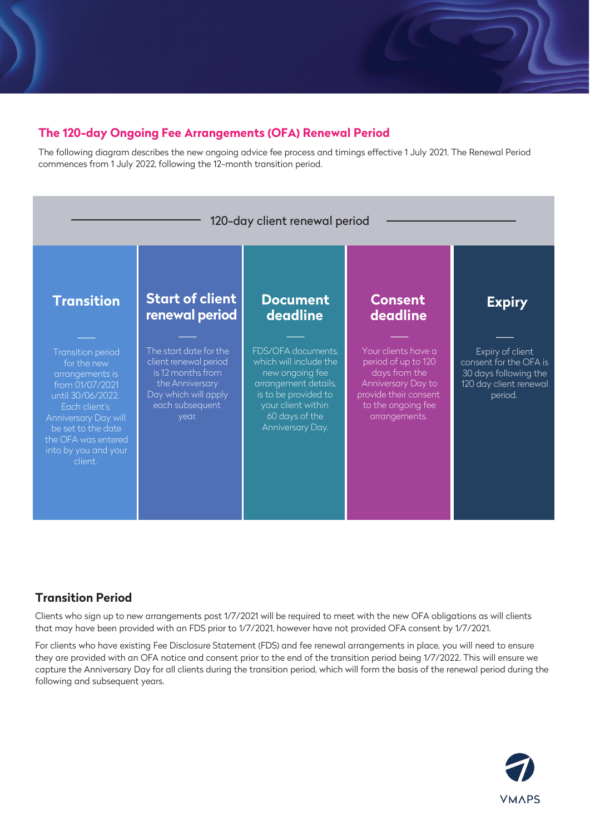# **The 120-day Ongoing Fee Arrangements (OFA) Renewal Period**

The following diagram describes the new ongoing advice fee process and timings effective 1 July 2021. The Renewal Period commences from 1 July 2022, following the 12-month transition period.



# **Transition Period**

Clients who sign up to new arrangements post 1/7/2021 will be required to meet with the new OFA obligations as will clients that may have been provided with an FDS prior to 1/7/2021, however have not provided OFA consent by 1/7/2021.

For clients who have existing Fee Disclosure Statement (FDS) and fee renewal arrangements in place, you will need to ensure they are provided with an OFA notice and consent prior to the end of the transition period being 1/7/2022. This will ensure we capture the Anniversary Day for all clients during the transition period, which will form the basis of the renewal period during the following and subsequent years.